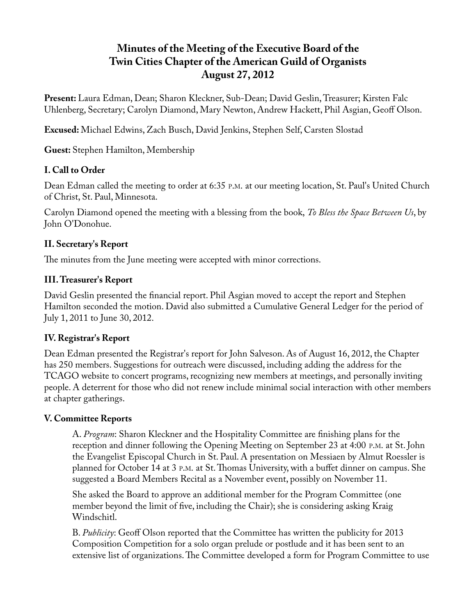# **Minutes of the Meeting of the Executive Board of the Twin Cities Chapter of the American Guild of Organists August 27, 2012**

**Present:** Laura Edman, Dean; Sharon Kleckner, Sub-Dean; David Geslin, Treasurer; Kirsten Falc Uhlenberg, Secretary; Carolyn Diamond, Mary Newton, Andrew Hackett, Phil Asgian, Geoff Olson.

**Excused:** Michael Edwins, Zach Busch, David Jenkins, Stephen Self, Carsten Slostad

**Guest:** Stephen Hamilton, Membership

# **I. Call to Order**

Dean Edman called the meeting to order at 6:35 P.M. at our meeting location, St. Paul's United Church of Christ, St. Paul, Minnesota.

Carolyn Diamond opened the meeting with a blessing from the book, *To Bless the Space Between Us*, by John O'Donohue.

# **II. Secretary's Report**

The minutes from the June meeting were accepted with minor corrections.

# **III. Treasurer's Report**

David Geslin presented the financial report. Phil Asgian moved to accept the report and Stephen Hamilton seconded the motion. David also submitted a Cumulative General Ledger for the period of July 1, 2011 to June 30, 2012.

# **IV. Registrar's Report**

Dean Edman presented the Registrar's report for John Salveson. As of August 16, 2012, the Chapter has 250 members. Suggestions for outreach were discussed, including adding the address for the TCAGO website to concert programs, recognizing new members at meetings, and personally inviting people. A deterrent for those who did not renew include minimal social interaction with other members at chapter gatherings.

# **V. Committee Reports**

A. *Program*: Sharon Kleckner and the Hospitality Committee are finishing plans for the reception and dinner following the Opening Meeting on September 23 at 4:00 P.M. at St. John the Evangelist Episcopal Church in St. Paul. A presentation on Messiaen by Almut Roessler is planned for October 14 at 3 P.M. at St. Thomas University, with a buffet dinner on campus. She suggested a Board Members Recital as a November event, possibly on November 11.

She asked the Board to approve an additional member for the Program Committee (one member beyond the limit of five, including the Chair); she is considering asking Kraig Windschitl.

B. *Publicity*: Geoff Olson reported that the Committee has written the publicity for 2013 Composition Competition for a solo organ prelude or postlude and it has been sent to an extensive list of organizations. The Committee developed a form for Program Committee to use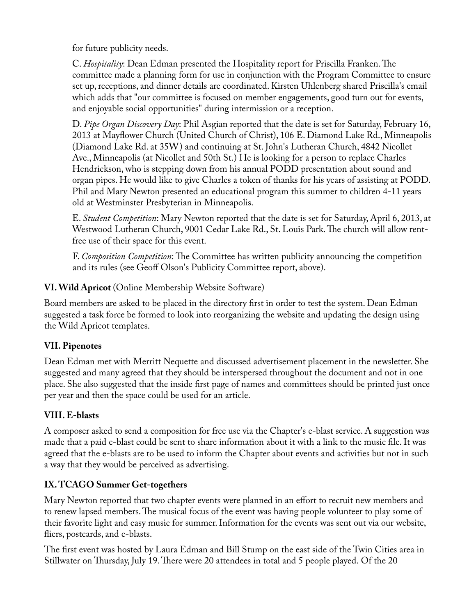for future publicity needs.

C. *Hospitality*: Dean Edman presented the Hospitality report for Priscilla Franken. The committee made a planning form for use in conjunction with the Program Committee to ensure set up, receptions, and dinner details are coordinated. Kirsten Uhlenberg shared Priscilla's email which adds that "our committee is focused on member engagements, good turn out for events, and enjoyable social opportunities" during intermission or a reception.

D. *Pipe Organ Discovery Day*: Phil Asgian reported that the date is set for Saturday, February 16, 2013 at Mayflower Church (United Church of Christ), 106 E. Diamond Lake Rd., Minneapolis (Diamond Lake Rd. at 35W) and continuing at St. John's Lutheran Church, 4842 Nicollet Ave., Minneapolis (at Nicollet and 50th St.) He is looking for a person to replace Charles Hendrickson, who is stepping down from his annual PODD presentation about sound and organ pipes. He would like to give Charles a token of thanks for his years of assisting at PODD. Phil and Mary Newton presented an educational program this summer to children 4-11 years old at Westminster Presbyterian in Minneapolis.

E. *Student Competition*: Mary Newton reported that the date is set for Saturday, April 6, 2013, at Westwood Lutheran Church, 9001 Cedar Lake Rd., St. Louis Park. The church will allow rentfree use of their space for this event.

F. *Composition Competition*: The Committee has written publicity announcing the competition and its rules (see Geoff Olson's Publicity Committee report, above).

#### **VI. Wild Apricot** (Online Membership Website Software)

Board members are asked to be placed in the directory first in order to test the system. Dean Edman suggested a task force be formed to look into reorganizing the website and updating the design using the Wild Apricot templates.

#### **VII. Pipenotes**

Dean Edman met with Merritt Nequette and discussed advertisement placement in the newsletter. She suggested and many agreed that they should be interspersed throughout the document and not in one place. She also suggested that the inside first page of names and committees should be printed just once per year and then the space could be used for an article.

# **VIII. E-blasts**

A composer asked to send a composition for free use via the Chapter's e-blast service. A suggestion was made that a paid e-blast could be sent to share information about it with a link to the music file. It was agreed that the e-blasts are to be used to inform the Chapter about events and activities but not in such a way that they would be perceived as advertising.

# **IX. TCAGO Summer Get-togethers**

Mary Newton reported that two chapter events were planned in an effort to recruit new members and to renew lapsed members. The musical focus of the event was having people volunteer to play some of their favorite light and easy music for summer. Information for the events was sent out via our website, fliers, postcards, and e-blasts.

The first event was hosted by Laura Edman and Bill Stump on the east side of the Twin Cities area in Stillwater on Thursday, July 19. There were 20 attendees in total and 5 people played. Of the 20